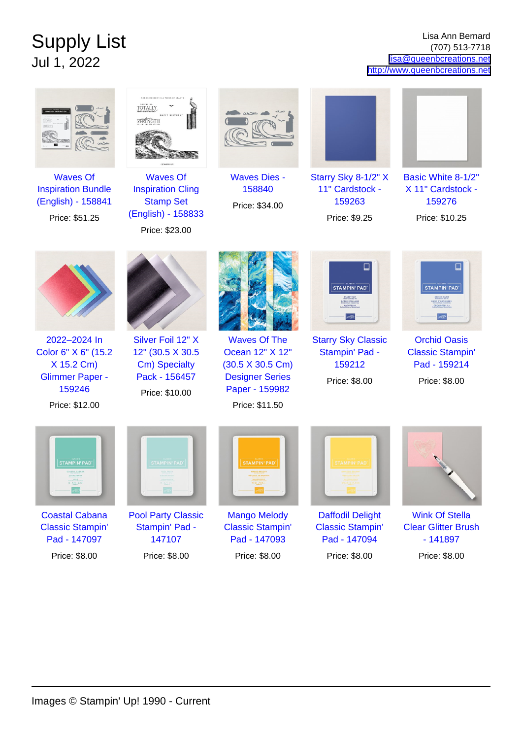## Supply List Jul 1, 2022

Lisa Ann Bernard (707) 513-7718 [lisa@queenbcreations.net](mailto:lisa@queenbcreations.net) <http://www.queenbcreations.net>